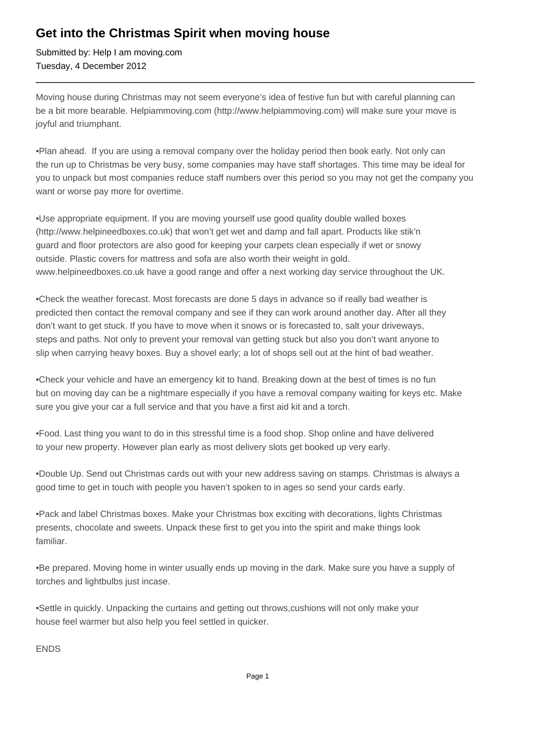## **Get into the Christmas Spirit when moving house**

Submitted by: Help I am moving.com Tuesday, 4 December 2012

Moving house during Christmas may not seem everyone's idea of festive fun but with careful planning can be a bit more bearable. Helpiammoving.com (http://www.helpiammoving.com) will make sure your move is joyful and triumphant.

• Plan ahead. If you are using a removal company over the holiday period then book early. Not only can the run up to Christmas be very busy, some companies may have staff shortages. This time may be ideal for you to unpack but most companies reduce staff numbers over this period so you may not get the company you want or worse pay more for overtime.

• Use appropriate equipment. If you are moving yourself use good quality double walled boxes (http://www.helpineedboxes.co.uk) that won't get wet and damp and fall apart. Products like stik'n guard and floor protectors are also good for keeping your carpets clean especially if wet or snowy outside. Plastic covers for mattress and sofa are also worth their weight in gold. www.helpineedboxes.co.uk have a good range and offer a next working day service throughout the UK.

• Check the weather forecast. Most forecasts are done 5 days in advance so if really bad weather is predicted then contact the removal company and see if they can work around another day. After all they don't want to get stuck. If you have to move when it snows or is forecasted to, salt your driveways, steps and paths. Not only to prevent your removal van getting stuck but also you don't want anyone to slip when carrying heavy boxes. Buy a shovel early; a lot of shops sell out at the hint of bad weather.

• Check your vehicle and have an emergency kit to hand. Breaking down at the best of times is no fun but on moving day can be a nightmare especially if you have a removal company waiting for keys etc. Make sure you give your car a full service and that you have a first aid kit and a torch.

• Food. Last thing you want to do in this stressful time is a food shop. Shop online and have delivered to your new property. However plan early as most delivery slots get booked up very early.

• Double Up. Send out Christmas cards out with your new address saving on stamps. Christmas is always a good time to get in touch with people you haven't spoken to in ages so send your cards early.

• Pack and label Christmas boxes. Make your Christmas box exciting with decorations, lights Christmas presents, chocolate and sweets. Unpack these first to get you into the spirit and make things look familiar.

• Be prepared. Moving home in winter usually ends up moving in the dark. Make sure you have a supply of torches and lightbulbs just incase.

• Settle in quickly. Unpacking the curtains and getting out throws,cushions will not only make your house feel warmer but also help you feel settled in quicker.

ENDS